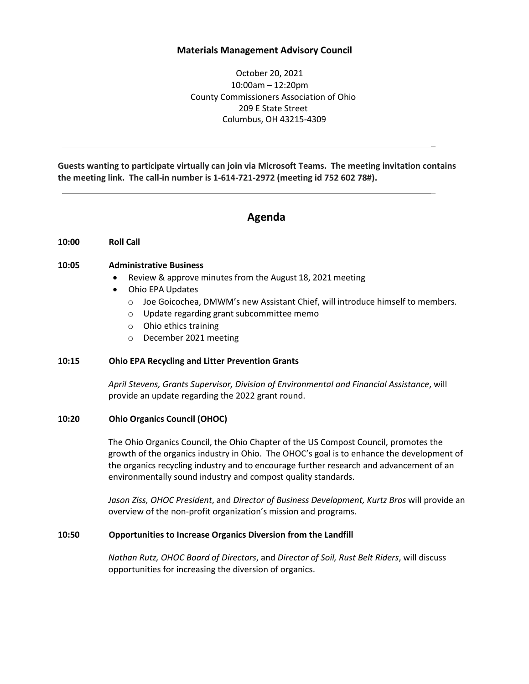# **Materials Management Advisory Council**

October 20, 2021 10:00am – 12:20pm County Commissioners Association of Ohio 209 E State Street Columbus, OH 43215-4309

\_

\_

**Guests wanting to participate virtually can join via Microsoft Teams. The meeting invitation contains the meeting link. The call-in number is 1-614-721-2972 (meeting id 752 602 78#).**

# **Agenda**

### **10:00 Roll Call**

#### **10:05 Administrative Business**

- Review & approve minutes from the August 18, 2021 meeting
- Ohio EPA Updates
	- o Joe Goicochea, DMWM's new Assistant Chief, will introduce himself to members.
	- o Update regarding grant subcommittee memo
	- o Ohio ethics training
	- o December 2021 meeting

### **10:15 Ohio EPA Recycling and Litter Prevention Grants**

*April Stevens, Grants Supervisor, Division of Environmental and Financial Assistance*, will provide an update regarding the 2022 grant round.

### **10:20 Ohio Organics Council (OHOC)**

The Ohio Organics Council, the Ohio Chapter of the US Compost Council, promotes the growth of the organics industry in Ohio. The OHOC's goal is to enhance the development of the organics recycling industry and to encourage further research and advancement of an environmentally sound industry and compost quality standards.

*Jason Ziss, OHOC President*, and *Director of Business Development, Kurtz Bros* will provide an overview of the non-profit organization's mission and programs.

#### **10:50 Opportunities to Increase Organics Diversion from the Landfill**

*Nathan Rutz, OHOC Board of Directors*, and *Director of Soil, Rust Belt Riders*, will discuss opportunities for increasing the diversion of organics.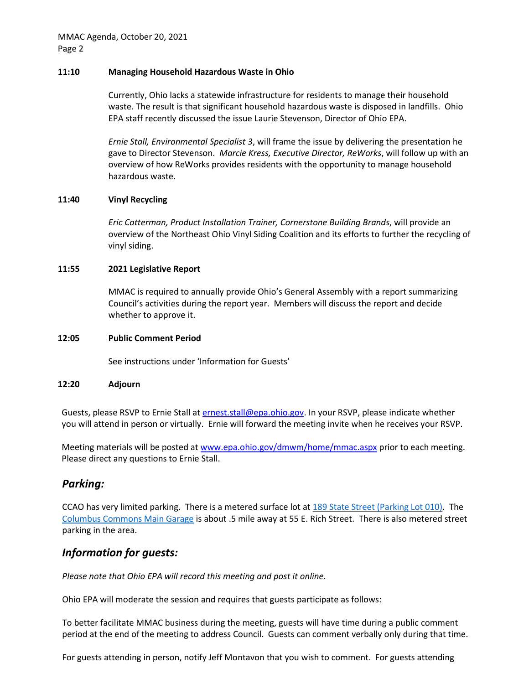# **11:10 Managing Household Hazardous Waste in Ohio**

Currently, Ohio lacks a statewide infrastructure for residents to manage their household waste. The result is that significant household hazardous waste is disposed in landfills. Ohio EPA staff recently discussed the issue Laurie Stevenson, Director of Ohio EPA.

*Ernie Stall, Environmental Specialist 3*, will frame the issue by delivering the presentation he gave to Director Stevenson. *Marcie Kress, Executive Director, ReWorks*, will follow up with an overview of how ReWorks provides residents with the opportunity to manage household hazardous waste.

## **11:40 Vinyl Recycling**

*Eric Cotterman, Product Installation Trainer, Cornerstone Building Brands*, will provide an overview of the Northeast Ohio Vinyl Siding Coalition and its efforts to further the recycling of vinyl siding.

## **11:55 2021 Legislative Report**

MMAC is required to annually provide Ohio's General Assembly with a report summarizing Council's activities during the report year. Members will discuss the report and decide whether to approve it.

### **12:05 Public Comment Period**

See instructions under 'Information for Guests'

### **12:20 Adjourn**

Guests, please RSVP to Ernie Stall at [ernest.stall@epa.ohio.gov.](mailto:ernest.stall@epa.ohio.gov) In your RSVP, please indicate whether you will attend in person or virtually. Ernie will forward the meeting invite when he receives your RSVP.

Meeting materials will be posted at [www.epa.ohio.gov/dmwm/home/mmac.aspx](http://www.epa.ohio.gov/dmwm/home/mmac.aspx) prior to each meeting. Please direct any questions to Ernie Stall.

# *Parking:*

CCAO has very limited parking. There is a metered surface lot at 189 State Street [\(Parking Lot 010\).](https://www.google.com/maps/dir/Parking+Lot+010,+189+E+State+St,+Columbus,+OH+43215/@39.960649,-82.9972437,17z/data=!4m8!4m7!1m0!1m5!1m1!1s0x88388f336ca2c7a9:0x6fb5cbeda1972c6f!2m2!1d-82.995055!2d39.960649) The [Columbus Commons Main Garage](https://www.google.com/maps/dir/39.9611755,-82.9987942/columbus+commons+main+garage/@39.9588418,-83.0000624,17z/data=!3m1!4b1!4m9!4m8!1m1!4e1!1m5!1m1!1s0x88388f3656a0c6bd:0x792e2e4b04d6d5ce!2m2!1d-82.998142!2d39.9565409) is about .5 mile away at 55 E. Rich Street. There is also metered street parking in the area.

# *Information for guests:*

*Please note that Ohio EPA will record this meeting and post it online.*

Ohio EPA will moderate the session and requires that guests participate as follows:

To better facilitate MMAC business during the meeting, guests will have time during a public comment period at the end of the meeting to address Council. Guests can comment verbally only during that time.

For guests attending in person, notify Jeff Montavon that you wish to comment. For guests attending